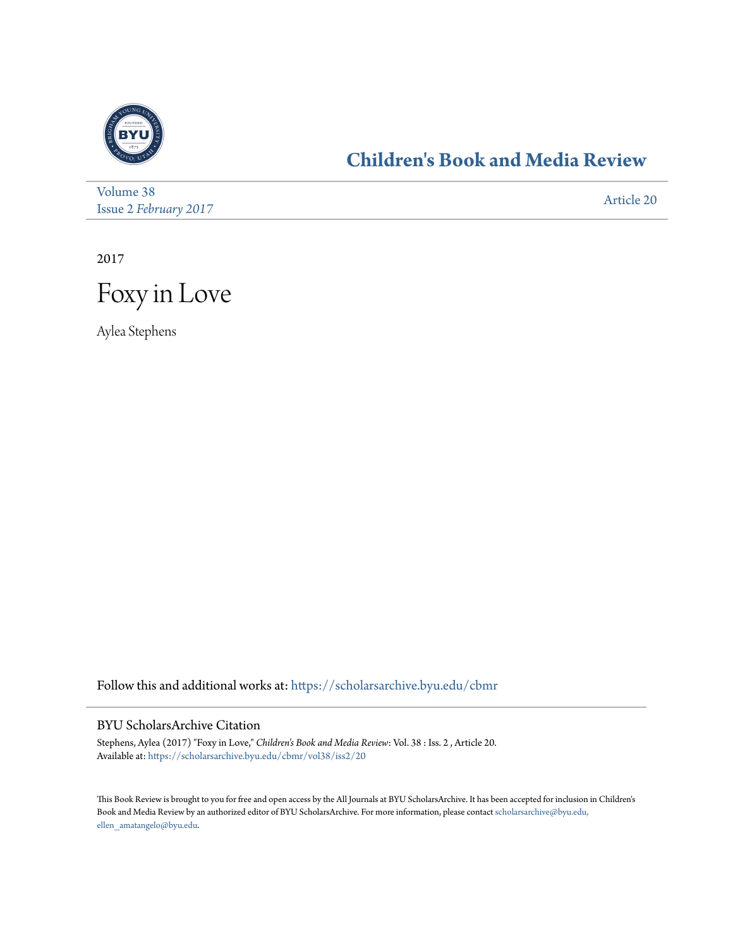

## **[Children's Book and Media Review](https://scholarsarchive.byu.edu/cbmr?utm_source=scholarsarchive.byu.edu%2Fcbmr%2Fvol38%2Fiss2%2F20&utm_medium=PDF&utm_campaign=PDFCoverPages)**

| Volume 38                    | Article 20 |
|------------------------------|------------|
| <b>Issue 2 February 2017</b> |            |

2017



Aylea Stephens

Follow this and additional works at: [https://scholarsarchive.byu.edu/cbmr](https://scholarsarchive.byu.edu/cbmr?utm_source=scholarsarchive.byu.edu%2Fcbmr%2Fvol38%2Fiss2%2F20&utm_medium=PDF&utm_campaign=PDFCoverPages)

## BYU ScholarsArchive Citation

Stephens, Aylea (2017) "Foxy in Love," *Children's Book and Media Review*: Vol. 38 : Iss. 2 , Article 20. Available at: [https://scholarsarchive.byu.edu/cbmr/vol38/iss2/20](https://scholarsarchive.byu.edu/cbmr/vol38/iss2/20?utm_source=scholarsarchive.byu.edu%2Fcbmr%2Fvol38%2Fiss2%2F20&utm_medium=PDF&utm_campaign=PDFCoverPages)

This Book Review is brought to you for free and open access by the All Journals at BYU ScholarsArchive. It has been accepted for inclusion in Children's Book and Media Review by an authorized editor of BYU ScholarsArchive. For more information, please contact [scholarsarchive@byu.edu,](mailto:scholarsarchive@byu.edu,%20ellen_amatangelo@byu.edu) [ellen\\_amatangelo@byu.edu.](mailto:scholarsarchive@byu.edu,%20ellen_amatangelo@byu.edu)